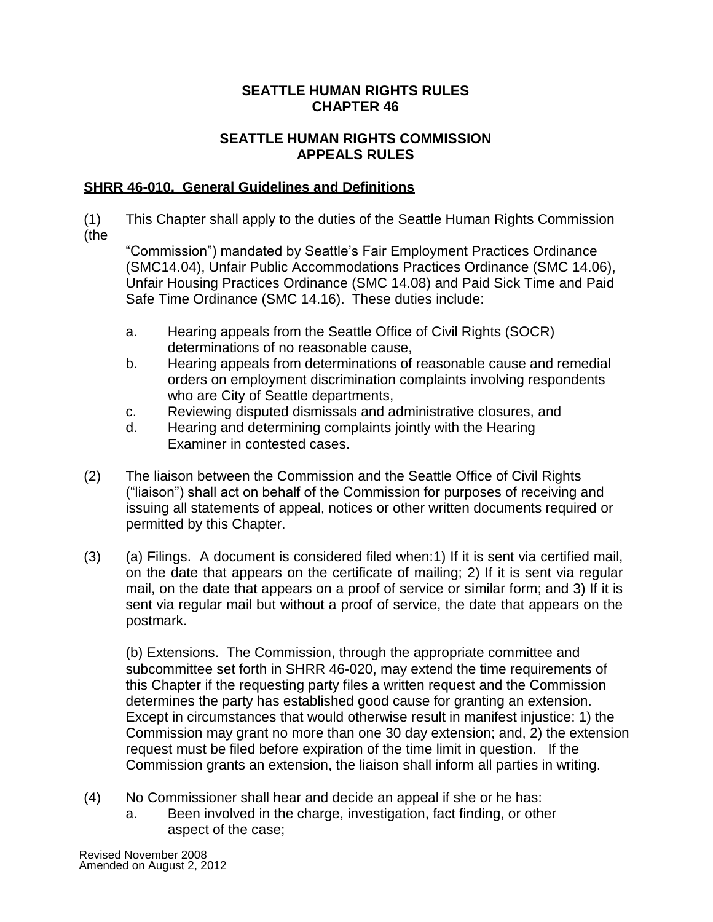# **SEATTLE HUMAN RIGHTS RULES CHAPTER 46**

# **SEATTLE HUMAN RIGHTS COMMISSION APPEALS RULES**

# **SHRR 46-010. General Guidelines and Definitions**

(1) This Chapter shall apply to the duties of the Seattle Human Rights Commission (the

"Commission") mandated by Seattle's Fair Employment Practices Ordinance (SMC14.04), Unfair Public Accommodations Practices Ordinance (SMC 14.06), Unfair Housing Practices Ordinance (SMC 14.08) and Paid Sick Time and Paid Safe Time Ordinance (SMC 14.16). These duties include:

- a. Hearing appeals from the Seattle Office of Civil Rights (SOCR) determinations of no reasonable cause,
- b. Hearing appeals from determinations of reasonable cause and remedial orders on employment discrimination complaints involving respondents who are City of Seattle departments,
- c. Reviewing disputed dismissals and administrative closures, and
- d. Hearing and determining complaints jointly with the Hearing Examiner in contested cases.
- (2) The liaison between the Commission and the Seattle Office of Civil Rights ("liaison") shall act on behalf of the Commission for purposes of receiving and issuing all statements of appeal, notices or other written documents required or permitted by this Chapter.
- (3) (a) Filings. A document is considered filed when:1) If it is sent via certified mail, on the date that appears on the certificate of mailing; 2) If it is sent via regular mail, on the date that appears on a proof of service or similar form; and 3) If it is sent via regular mail but without a proof of service, the date that appears on the postmark.

(b) Extensions. The Commission, through the appropriate committee and subcommittee set forth in SHRR 46-020, may extend the time requirements of this Chapter if the requesting party files a written request and the Commission determines the party has established good cause for granting an extension. Except in circumstances that would otherwise result in manifest injustice: 1) the Commission may grant no more than one 30 day extension; and, 2) the extension request must be filed before expiration of the time limit in question. If the Commission grants an extension, the liaison shall inform all parties in writing.

- (4) No Commissioner shall hear and decide an appeal if she or he has:
	- a. Been involved in the charge, investigation, fact finding, or other aspect of the case;

Revised November 2008 Amended on August 2, 2012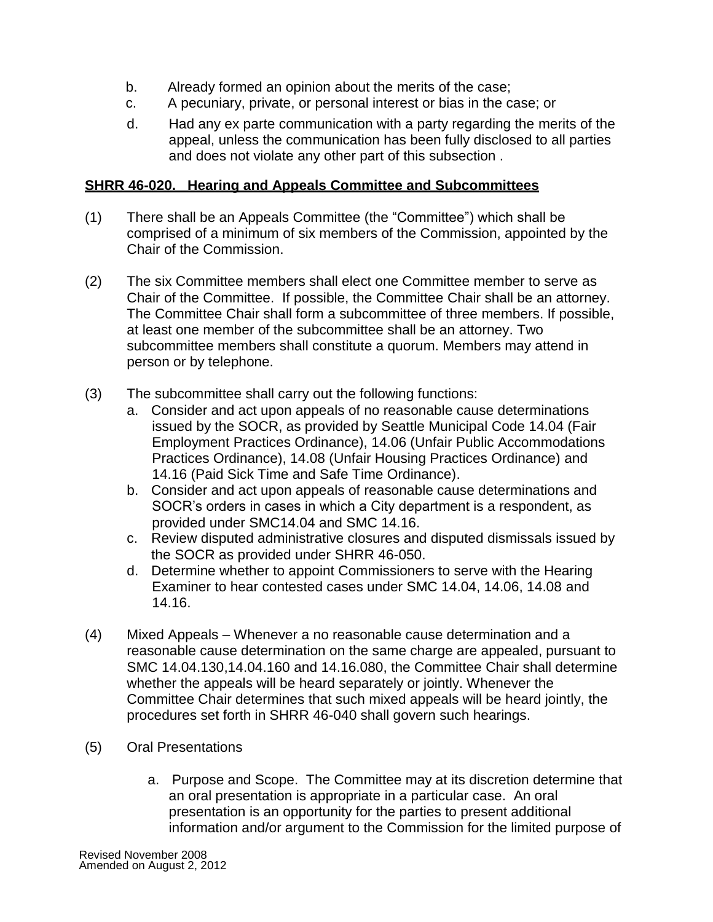- b. Already formed an opinion about the merits of the case;
- c. A pecuniary, private, or personal interest or bias in the case; or
- d. Had any ex parte communication with a party regarding the merits of the appeal, unless the communication has been fully disclosed to all parties and does not violate any other part of this subsection .

# **SHRR 46-020. Hearing and Appeals Committee and Subcommittees**

- (1) There shall be an Appeals Committee (the "Committee") which shall be comprised of a minimum of six members of the Commission, appointed by the Chair of the Commission.
- (2) The six Committee members shall elect one Committee member to serve as Chair of the Committee. If possible, the Committee Chair shall be an attorney. The Committee Chair shall form a subcommittee of three members. If possible, at least one member of the subcommittee shall be an attorney. Two subcommittee members shall constitute a quorum. Members may attend in person or by telephone.
- (3) The subcommittee shall carry out the following functions:
	- a. Consider and act upon appeals of no reasonable cause determinations issued by the SOCR, as provided by Seattle Municipal Code 14.04 (Fair Employment Practices Ordinance), 14.06 (Unfair Public Accommodations Practices Ordinance), 14.08 (Unfair Housing Practices Ordinance) and 14.16 (Paid Sick Time and Safe Time Ordinance).
	- b. Consider and act upon appeals of reasonable cause determinations and SOCR's orders in cases in which a City department is a respondent, as provided under SMC14.04 and SMC 14.16.
	- c. Review disputed administrative closures and disputed dismissals issued by the SOCR as provided under SHRR 46-050.
	- d. Determine whether to appoint Commissioners to serve with the Hearing Examiner to hear contested cases under SMC 14.04, 14.06, 14.08 and 14.16.
- (4) Mixed Appeals Whenever a no reasonable cause determination and a reasonable cause determination on the same charge are appealed, pursuant to SMC 14.04.130,14.04.160 and 14.16.080, the Committee Chair shall determine whether the appeals will be heard separately or jointly. Whenever the Committee Chair determines that such mixed appeals will be heard jointly, the procedures set forth in SHRR 46-040 shall govern such hearings.
- (5) Oral Presentations
	- a. Purpose and Scope. The Committee may at its discretion determine that an oral presentation is appropriate in a particular case. An oral presentation is an opportunity for the parties to present additional information and/or argument to the Commission for the limited purpose of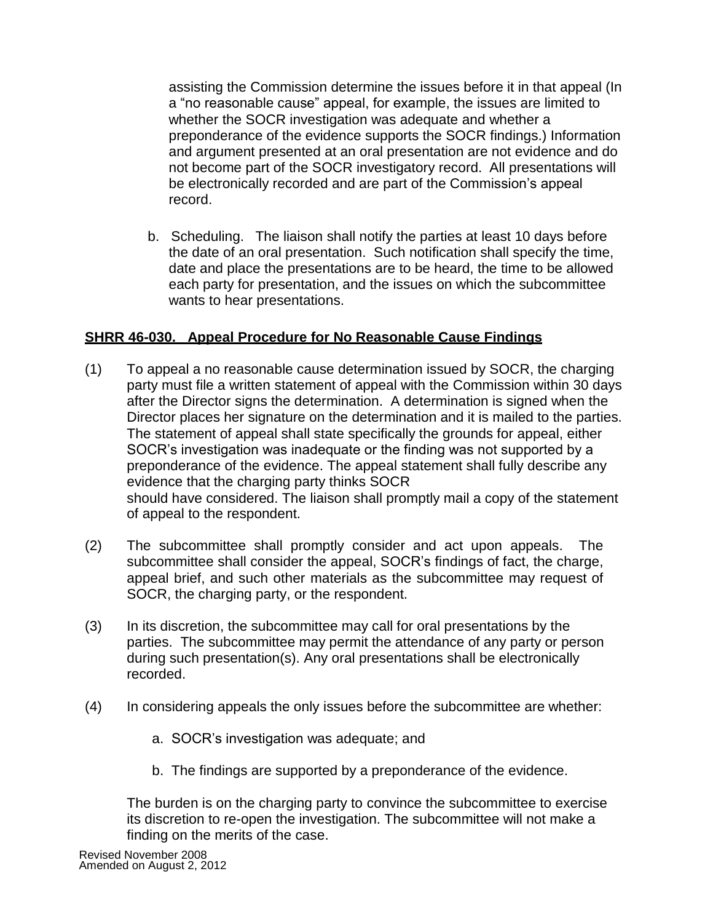assisting the Commission determine the issues before it in that appeal (In a "no reasonable cause" appeal, for example, the issues are limited to whether the SOCR investigation was adequate and whether a preponderance of the evidence supports the SOCR findings.) Information and argument presented at an oral presentation are not evidence and do not become part of the SOCR investigatory record. All presentations will be electronically recorded and are part of the Commission's appeal record.

b. Scheduling. The liaison shall notify the parties at least 10 days before the date of an oral presentation. Such notification shall specify the time, date and place the presentations are to be heard, the time to be allowed each party for presentation, and the issues on which the subcommittee wants to hear presentations.

#### **SHRR 46-030. Appeal Procedure for No Reasonable Cause Findings**

- (1) To appeal a no reasonable cause determination issued by SOCR, the charging party must file a written statement of appeal with the Commission within 30 days after the Director signs the determination. A determination is signed when the Director places her signature on the determination and it is mailed to the parties. The statement of appeal shall state specifically the grounds for appeal, either SOCR's investigation was inadequate or the finding was not supported by a preponderance of the evidence. The appeal statement shall fully describe any evidence that the charging party thinks SOCR should have considered. The liaison shall promptly mail a copy of the statement of appeal to the respondent.
- (2) The subcommittee shall promptly consider and act upon appeals. The subcommittee shall consider the appeal, SOCR's findings of fact, the charge, appeal brief, and such other materials as the subcommittee may request of SOCR, the charging party, or the respondent.
- (3) In its discretion, the subcommittee may call for oral presentations by the parties. The subcommittee may permit the attendance of any party or person during such presentation(s). Any oral presentations shall be electronically recorded.
- (4) In considering appeals the only issues before the subcommittee are whether:
	- a. SOCR's investigation was adequate; and
	- b. The findings are supported by a preponderance of the evidence.

The burden is on the charging party to convince the subcommittee to exercise its discretion to re-open the investigation. The subcommittee will not make a finding on the merits of the case.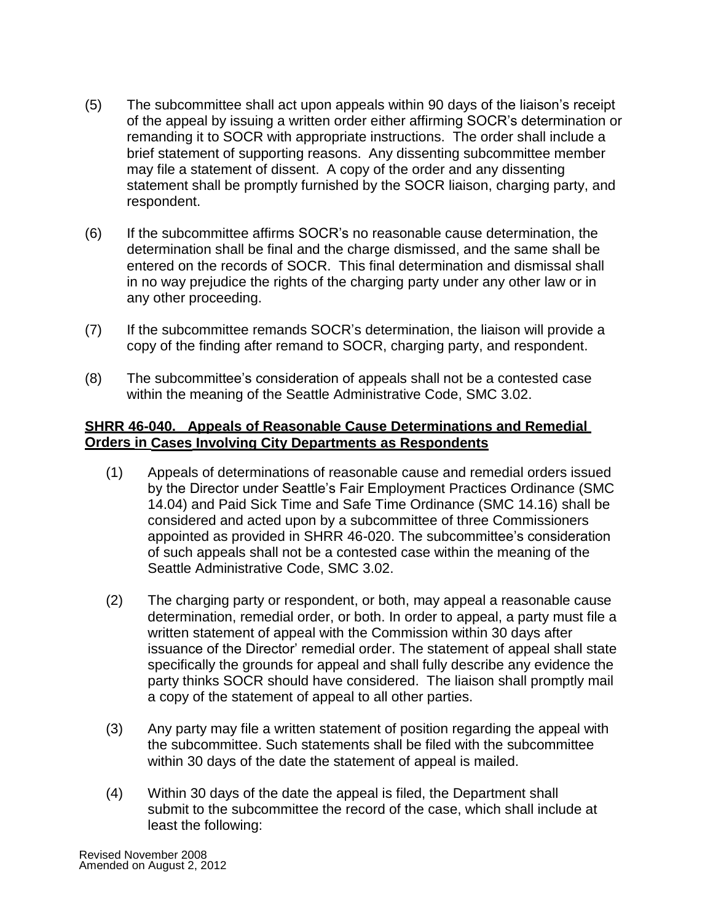- (5) The subcommittee shall act upon appeals within 90 days of the liaison's receipt of the appeal by issuing a written order either affirming SOCR's determination or remanding it to SOCR with appropriate instructions. The order shall include a brief statement of supporting reasons. Any dissenting subcommittee member may file a statement of dissent. A copy of the order and any dissenting statement shall be promptly furnished by the SOCR liaison, charging party, and respondent.
- (6) If the subcommittee affirms SOCR's no reasonable cause determination, the determination shall be final and the charge dismissed, and the same shall be entered on the records of SOCR. This final determination and dismissal shall in no way prejudice the rights of the charging party under any other law or in any other proceeding.
- (7) If the subcommittee remands SOCR's determination, the liaison will provide a copy of the finding after remand to SOCR, charging party, and respondent.
- (8) The subcommittee's consideration of appeals shall not be a contested case within the meaning of the Seattle Administrative Code, SMC 3.02.

# **SHRR 46-040. Appeals of Reasonable Cause Determinations and Remedial Orders in Cases Involving City Departments as Respondents**

- (1) Appeals of determinations of reasonable cause and remedial orders issued by the Director under Seattle's Fair Employment Practices Ordinance (SMC 14.04) and Paid Sick Time and Safe Time Ordinance (SMC 14.16) shall be considered and acted upon by a subcommittee of three Commissioners appointed as provided in SHRR 46-020. The subcommittee's consideration of such appeals shall not be a contested case within the meaning of the Seattle Administrative Code, SMC 3.02.
- (2) The charging party or respondent, or both, may appeal a reasonable cause determination, remedial order, or both. In order to appeal, a party must file a written statement of appeal with the Commission within 30 days after issuance of the Director' remedial order. The statement of appeal shall state specifically the grounds for appeal and shall fully describe any evidence the party thinks SOCR should have considered. The liaison shall promptly mail a copy of the statement of appeal to all other parties.
- (3) Any party may file a written statement of position regarding the appeal with the subcommittee. Such statements shall be filed with the subcommittee within 30 days of the date the statement of appeal is mailed.
- (4) Within 30 days of the date the appeal is filed, the Department shall submit to the subcommittee the record of the case, which shall include at least the following: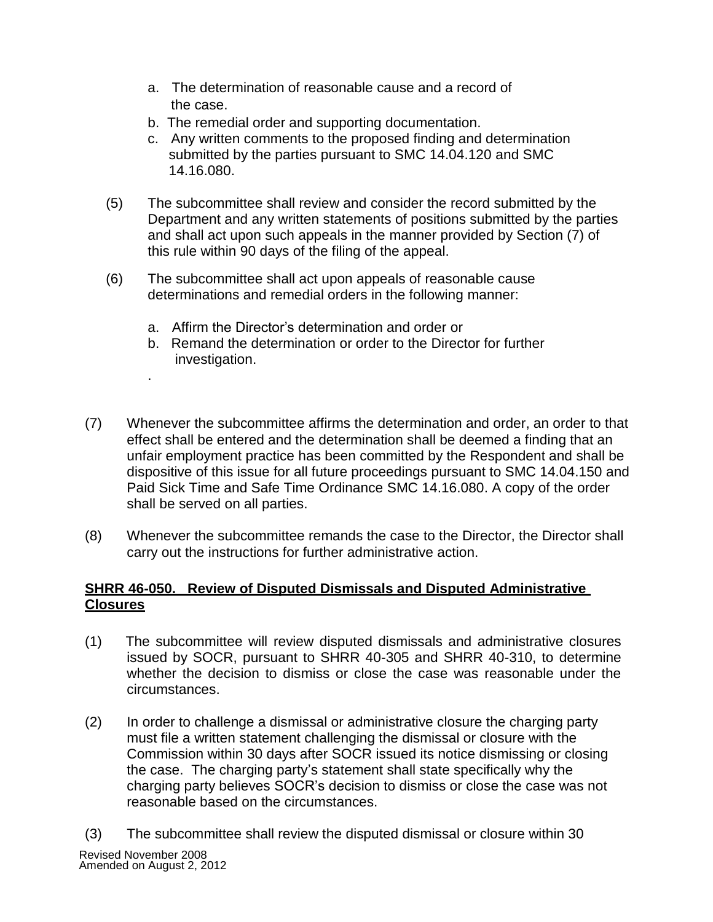- a. The determination of reasonable cause and a record of the case.
- b. The remedial order and supporting documentation.
- c. Any written comments to the proposed finding and determination submitted by the parties pursuant to SMC 14.04.120 and SMC 14.16.080.
- (5) The subcommittee shall review and consider the record submitted by the Department and any written statements of positions submitted by the parties and shall act upon such appeals in the manner provided by Section (7) of this rule within 90 days of the filing of the appeal.
- (6) The subcommittee shall act upon appeals of reasonable cause determinations and remedial orders in the following manner:
	- a. Affirm the Director's determination and order or

.

- b. Remand the determination or order to the Director for further investigation.
- (7) Whenever the subcommittee affirms the determination and order, an order to that effect shall be entered and the determination shall be deemed a finding that an unfair employment practice has been committed by the Respondent and shall be dispositive of this issue for all future proceedings pursuant to SMC 14.04.150 and Paid Sick Time and Safe Time Ordinance SMC 14.16.080. A copy of the order shall be served on all parties.
- (8) Whenever the subcommittee remands the case to the Director, the Director shall carry out the instructions for further administrative action.

# **SHRR 46-050. Review of Disputed Dismissals and Disputed Administrative Closures**

- (1) The subcommittee will review disputed dismissals and administrative closures issued by SOCR, pursuant to SHRR 40-305 and SHRR 40-310, to determine whether the decision to dismiss or close the case was reasonable under the circumstances.
- (2) In order to challenge a dismissal or administrative closure the charging party must file a written statement challenging the dismissal or closure with the Commission within 30 days after SOCR issued its notice dismissing or closing the case. The charging party's statement shall state specifically why the charging party believes SOCR's decision to dismiss or close the case was not reasonable based on the circumstances.
- Revised November 2008 Amended on August 2, 2012 (3) The subcommittee shall review the disputed dismissal or closure within 30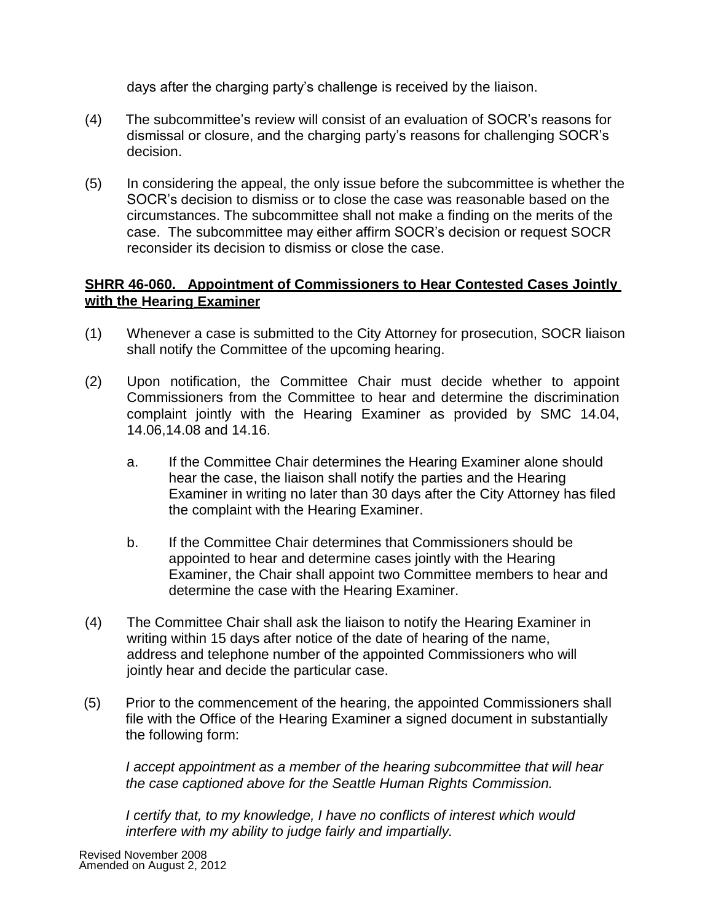days after the charging party's challenge is received by the liaison.

- (4) The subcommittee's review will consist of an evaluation of SOCR's reasons for dismissal or closure, and the charging party's reasons for challenging SOCR's decision.
- (5) In considering the appeal, the only issue before the subcommittee is whether the SOCR's decision to dismiss or to close the case was reasonable based on the circumstances. The subcommittee shall not make a finding on the merits of the case. The subcommittee may either affirm SOCR's decision or request SOCR reconsider its decision to dismiss or close the case.

# **SHRR 46-060. Appointment of Commissioners to Hear Contested Cases Jointly with the Hearing Examiner**

- (1) Whenever a case is submitted to the City Attorney for prosecution, SOCR liaison shall notify the Committee of the upcoming hearing.
- (2) Upon notification, the Committee Chair must decide whether to appoint Commissioners from the Committee to hear and determine the discrimination complaint jointly with the Hearing Examiner as provided by SMC 14.04, 14.06,14.08 and 14.16.
	- a. If the Committee Chair determines the Hearing Examiner alone should hear the case, the liaison shall notify the parties and the Hearing Examiner in writing no later than 30 days after the City Attorney has filed the complaint with the Hearing Examiner.
	- b. If the Committee Chair determines that Commissioners should be appointed to hear and determine cases jointly with the Hearing Examiner, the Chair shall appoint two Committee members to hear and determine the case with the Hearing Examiner.
- (4) The Committee Chair shall ask the liaison to notify the Hearing Examiner in writing within 15 days after notice of the date of hearing of the name, address and telephone number of the appointed Commissioners who will jointly hear and decide the particular case.
- (5) Prior to the commencement of the hearing, the appointed Commissioners shall file with the Office of the Hearing Examiner a signed document in substantially the following form:

*I* accept appointment as a member of the hearing subcommittee that will hear *the case captioned above for the Seattle Human Rights Commission.*

*I certify that, to my knowledge, I have no conflicts of interest which would interfere with my ability to judge fairly and impartially.*